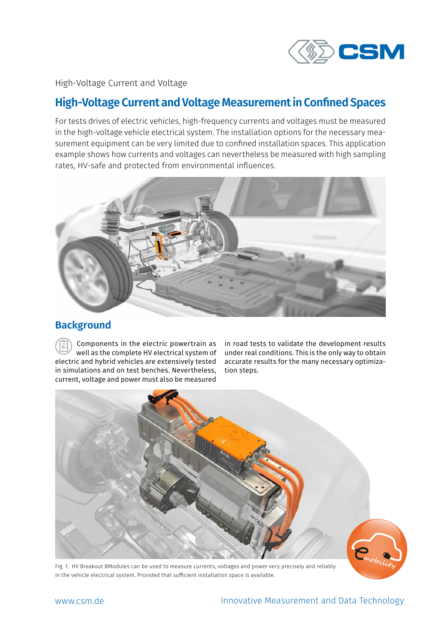

High-Voltage Current and Voltage

# **High-Voltage Current and Voltage Measurement in Confined Spaces**

For tests drives of electric vehicles, high-frequency currents and voltages must be measured in the high-voltage vehicle electrical system. The installation options for the necessary measurement equipment can be very limited due to confined installation spaces. This application example shows how currents and voltages can nevertheless be measured with high sampling rates, HV-safe and protected from environmental influences.



## **Background**

Components in the electric powertrain as well as the complete HV electrical system of electric and hybrid vehicles are extensively tested in simulations and on test benches. Nevertheless, current, voltage and power must also be measured

in road tests to validate the development results under real conditions. This is the only way to obtain accurate results for the many necessary optimization steps.



Fig. 1: HV Breakout BModules can be used to measure currents, voltages and power very precisely and reliably in the vehicle electrical system. Provided that sufficient installation space is available.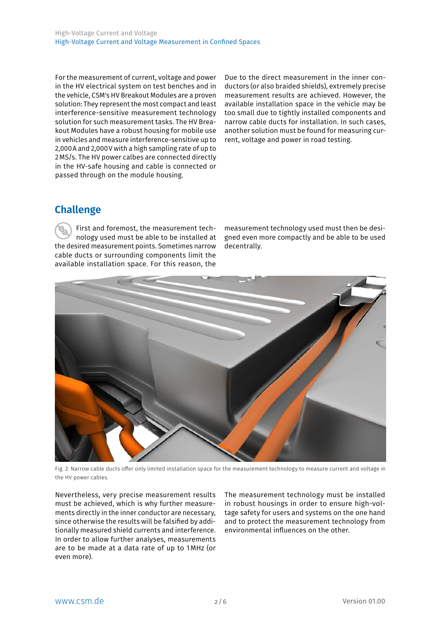For the measurement of current, voltage and power in the HV electrical system on test benches and in the vehicle, CSM's HV Breakout Modules are a proven solution: They represent the most compact and least interference-sensitive measurement technology solution for such measurement tasks. The HV Breakout Modules have a robust housing for mobile use in vehicles and measure interference-sensitive up to 2,000A and 2,000V with a high sampling rate of up to 2MS/s. The HV power calbes are connected directly in the HV-safe housing and cable is connected or passed through on the module housing.

Due to the direct measurement in the inner conductors (or also braided shields), extremely precise measurement results are achieved. However, the available installation space in the vehicle may be too small due to tightly installed components and narrow cable ducts for installation. In such cases, another solution must be found for measuring current, voltage and power in road testing.

## **Challenge**

First and foremost, the measurement technology used must be able to be installed at the desired measurement points. Sometimes narrow cable ducts or surrounding components limit the available installation space. For this reason, the

measurement technology used must then be designed even more compactly and be able to be used decentrally.



Fig. 2: Narrow cable ducts offer only limited installation space for the measurement technology to measure current and voltage in the HV power cables.

Nevertheless, very precise measurement results must be achieved, which is why further measurements directly in the inner conductor are necessary, since otherwise the results will be falsified by additionally measured shield currents and interference. In order to allow further analyses, measurements are to be made at a data rate of up to 1MHz (or even more).

The measurement technology must be installed in robust housings in order to ensure high-voltage safety for users and systems on the one hand and to protect the measurement technology from environmental influences on the other.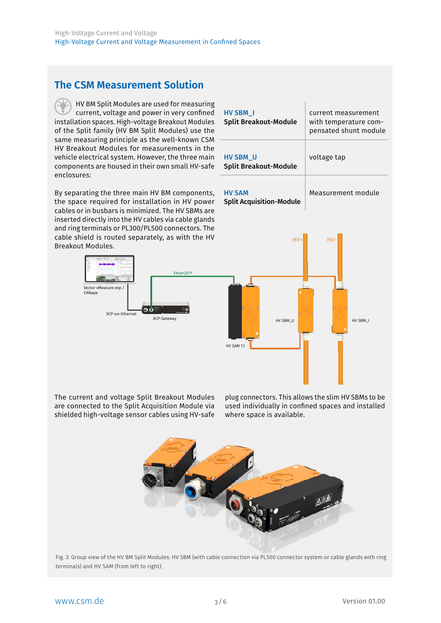## **The CSM Measurement Solution**

HV BM Split Modules are used for measuring current, voltage and power in very confined installation spaces. High-voltage Breakout Modules of the Split family (HV BM Split Modules) use the same measuring principle as the well-known CSM HV Breakout Modules for measurements in the vehicle electrical system. However, the three main components are housed in their own small HV-safe enclosures:

By separating the three main HV BM components, the space required for installation in HV power cables or in busbars is minimized. The HV SBMs are inserted directly into the HV cables via cable glands and ring terminals or PL300/PL500 connectors. The cable shield is routed separately, as with the HV Breakout Modules.



| <b>HV SBM I</b><br><b>Split Breakout-Module</b> | current measurement<br>with temperature com-<br>pensated shunt module |
|-------------------------------------------------|-----------------------------------------------------------------------|
| <b>HV SBM U</b><br><b>Split Breakout-Module</b> | voltage tap                                                           |
| <b>HV SAM</b>                                   | Measurement module                                                    |

Split Acquisition-Module



The current and voltage Split Breakout Modules are connected to the Split Acquisition Module via shielded high-voltage sensor cables using HV-safe

plug connectors. This allows the slim HV SBMs to be used individually in confined spaces and installed where space is available.



Fig. 3: Group view of the HV BM Split Modules: HV SBM (with cable connection via PL500 connector system or cable glands with ring terminals) and HV SAM (from left to right).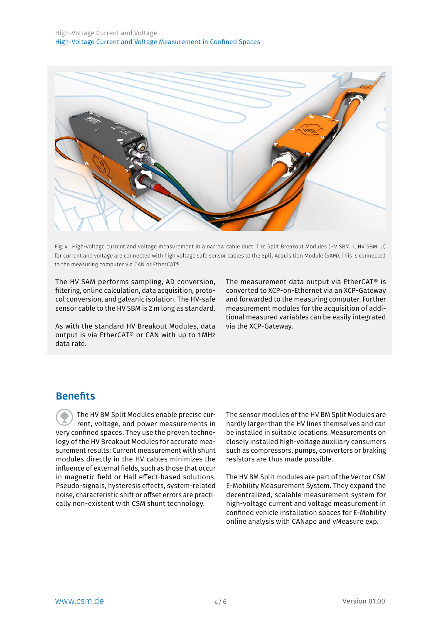

Fig. 4: High-voltage current and voltage measurement in a narrow cable duct. The Split Breakout Modules (HV SBM\_I, HV SBM\_U) for current and voltage are connected with high voltage safe sensor cables to the Split Acquisition Module (SAM). This is connected to the measuring computer via CAN or EtherCAT®.

The HV SAM performs sampling, AD conversion, filtering, online calculation, data acquisition, protocol conversion, and galvanic isolation. The HV-safe sensor cable to the HV SBM is 2 m long as standard.

As with the standard HV Breakout Modules, data output is via EtherCAT® or CAN with up to 1MHz data rate.

The measurement data output via EtherCAT® is converted to XCP-on-Ethernet via an XCP-Gateway and forwarded to the measuring computer. Further measurement modules for the acquisition of additional measured variables can be easily integrated via the XCP-Gateway.

### **Benefits**

The HV BM Split Modules enable precise current, voltage, and power measurements in very confined spaces. They use the proven technology of the HV Breakout Modules for accurate measurement results: Current measurement with shunt modules directly in the HV cables minimizes the influence of external fields, such as those that occur in magnetic field or Hall effect-based solutions. Pseudo-signals, hysteresis effects, system-related noise, characteristic shift or offset errors are practically non-existent with CSM shunt technology.

The sensor modules of the HV BM Split Modules are hardly larger than the HV lines themselves and can be installed in suitable locations. Measurements on closely installed high-voltage auxiliary consumers such as compressors, pumps, converters or braking resistors are thus made possible.

The HV BM Split modules are part of the Vector CSM E-Mobility Measurement System. They expand the decentralized, scalable measurement system for high-voltage current and voltage measurement in confined vehicle installation spaces for E-Mobility online analysis with CANape and vMeasure exp.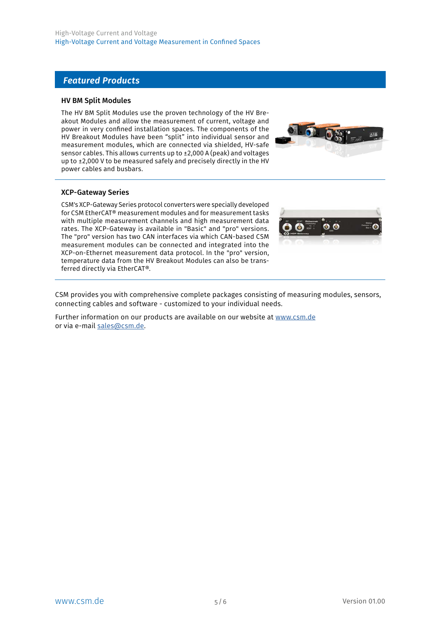### *Featured Products*

#### HV BM Split Modules

The HV BM Split Modules use the proven technology of the HV Breakout Modules and allow the measurement of current, voltage and power in very confined installation spaces. The components of the HV Breakout Modules have been "split" into individual sensor and measurement modules, which are connected via shielded, HV-safe sensor cables. This allows currents up to ±2,000 A (peak) and voltages up to ±2,000 V to be measured safely and precisely directly in the HV power cables and busbars.



#### XCP-Gateway Series

CSM's XCP-Gateway Series protocol converters were specially developed for CSM EtherCAT® measurement modules and for measurement tasks with multiple measurement channels and high measurement data rates. The XCP-Gateway is available in "Basic" and "pro" versions. The "pro" version has two CAN interfaces via which CAN-based CSM measurement modules can be connected and integrated into the XCP-on-Ethernet measurement data protocol. In the "pro" version, temperature data from the HV Breakout Modules can also be transferred directly via EtherCAT®.



CSM provides you with comprehensive complete packages consisting of measuring modules, sensors, connecting cables and software - customized to your individual needs.

Further information on our products are available on our website at www.csm.de or via e-mail sales@csm.de.